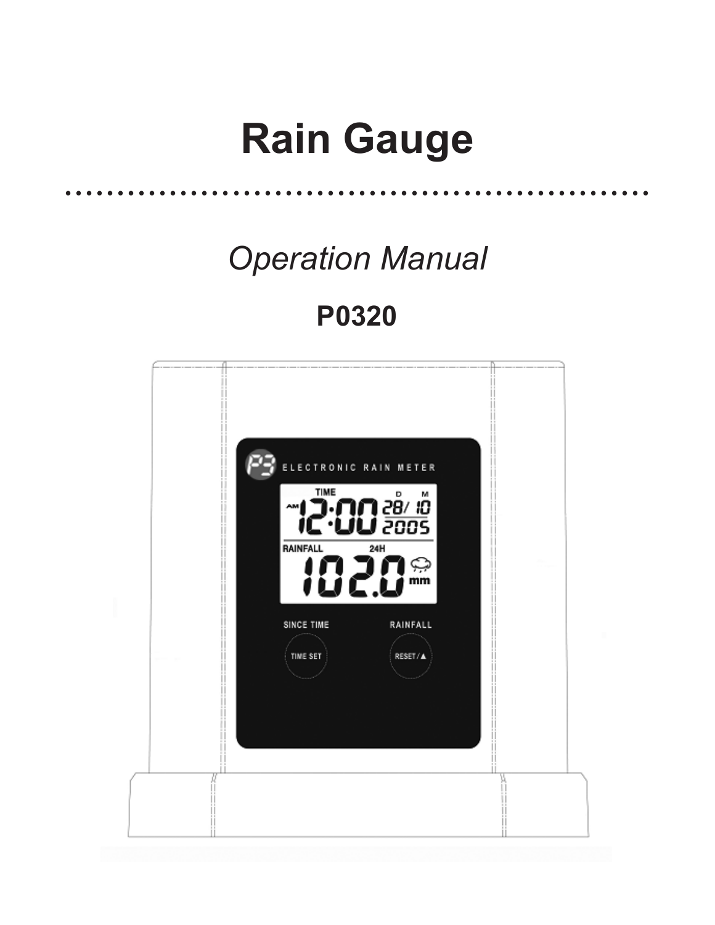# **Rain Gauge** ........................................................

*Operation Manual*

# **P0320**

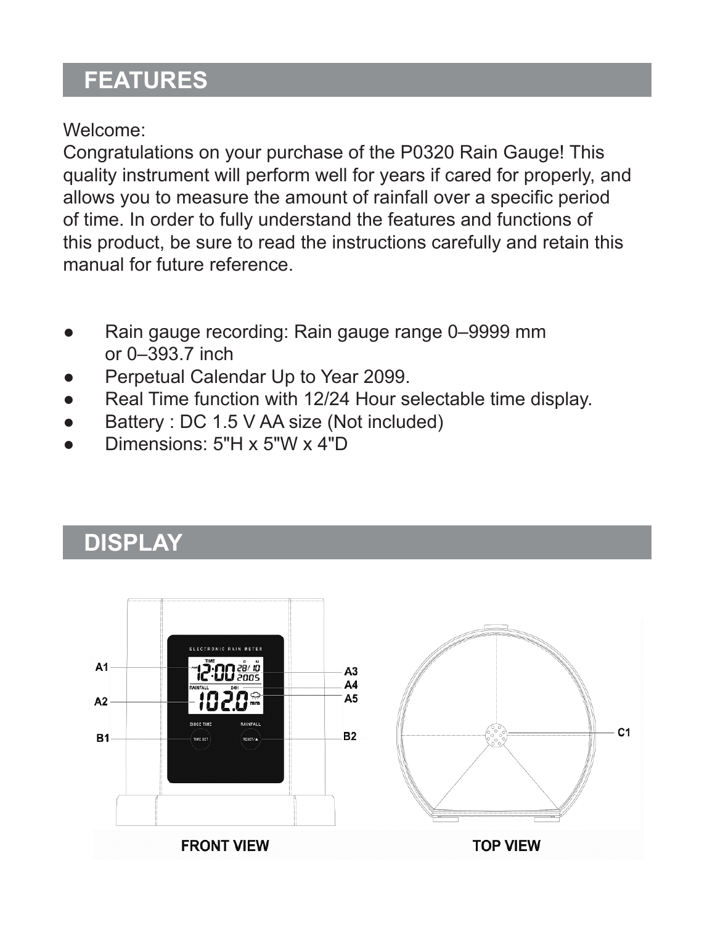## **Features**

Welcome:

Congratulations on your purchase of the P0320 Rain Gauge! This quality instrument will perform well for years if cared for properly, and allows you to measure the amount of rainfall over a specific period of time. In order to fully understand the features and functions of this product, be sure to read the instructions carefully and retain this manual for future reference.

- Rain gauge recording: Rain gauge range 0–9999 mm or 0–393.7 inch
- Perpetual Calendar Up to Year 2099.
- Real Time function with 12/24 Hour selectable time display.
- Battery : DC 1.5 V AA size (Not included)
- Dimensions:  $5"H \times 5"W \times 4"D$

# **display**

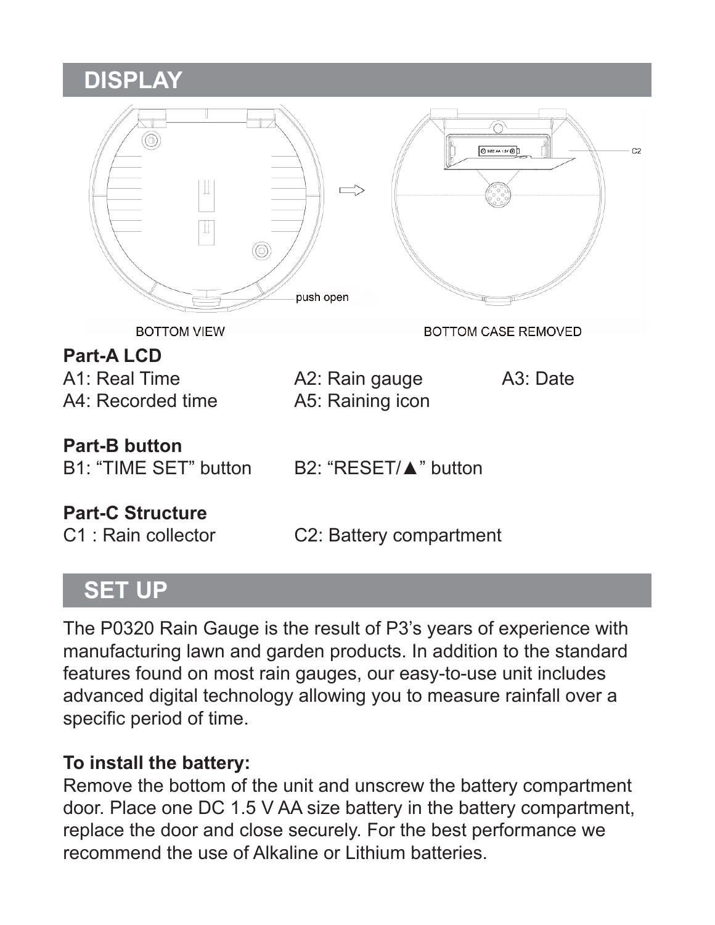### **display**

| 6<br>II                                | push open                            | <b>Q</b> 121 M 1N @<br>C2 |  |
|----------------------------------------|--------------------------------------|---------------------------|--|
| <b>BOTTOM VIEW</b>                     |                                      | BOTTOM CASE REMOVED       |  |
| <b>Part-ALCD</b>                       |                                      |                           |  |
| A1: Real Time<br>A4: Recorded time     | A2: Rain gauge<br>A5: Raining icon   | A <sub>3</sub> : Date     |  |
| Part-B button<br>B1: "TIME SET" button | B2: "RESET/▲" button                 |                           |  |
| <b>Part-C Structure</b>                |                                      |                           |  |
| C1: Rain collector                     | C <sub>2</sub> : Battery compartment |                           |  |

## **set up**

The P0320 Rain Gauge is the result of P3's years of experience with manufacturing lawn and garden products. In addition to the standard features found on most rain gauges, our easy-to-use unit includes advanced digital technology allowing you to measure rainfall over a specific period of time.

#### **To install the battery:**

Remove the bottom of the unit and unscrew the battery compartment door. Place one DC 1.5 V AA size battery in the battery compartment, replace the door and close securely. For the best performance we recommend the use of Alkaline or Lithium batteries.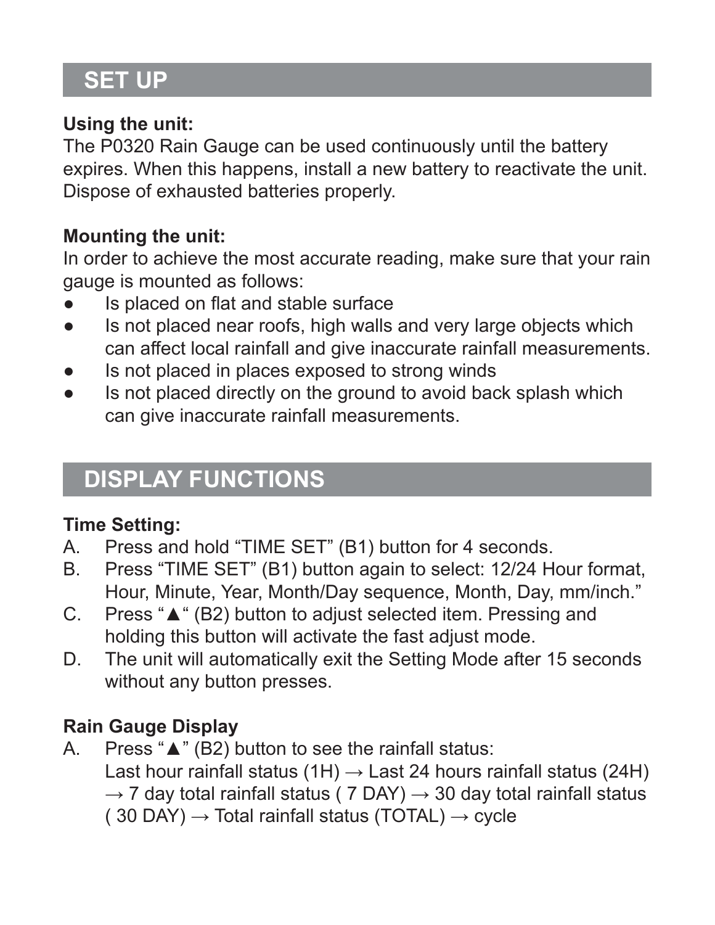# **set up**

#### **Using the unit:**

The P0320 Rain Gauge can be used continuously until the battery expires. When this happens, install a new battery to reactivate the unit. Dispose of exhausted batteries properly.

#### **Mounting the unit:**

In order to achieve the most accurate reading, make sure that your rain gauge is mounted as follows:

- Is placed on flat and stable surface
- Is not placed near roofs, high walls and very large objects which can affect local rainfall and give inaccurate rainfall measurements.
- Is not placed in places exposed to strong winds
- Is not placed directly on the ground to avoid back splash which can give inaccurate rainfall measurements.

## **display functions**

#### **Time Setting:**

- A. Press and hold "TIME SET" (B1) button for 4 seconds.
- B. Press "TIME SET" (B1) button again to select: 12/24 Hour format, Hour, Minute, Year, Month/Day sequence, Month, Day, mm/inch."
- C. Press "▲" (B2) button to adjust selected item. Pressing and holding this button will activate the fast adjust mode.
- D. The unit will automatically exit the Setting Mode after 15 seconds without any button presses.

#### **Rain Gauge Display**

A. Press "▲" (B2) button to see the rainfall status: Last hour rainfall status (1H)  $\rightarrow$  Last 24 hours rainfall status (24H)  $\rightarrow$  7 day total rainfall status ( 7 DAY)  $\rightarrow$  30 day total rainfall status (30 DAY)  $\rightarrow$  Total rainfall status (TOTAL)  $\rightarrow$  cycle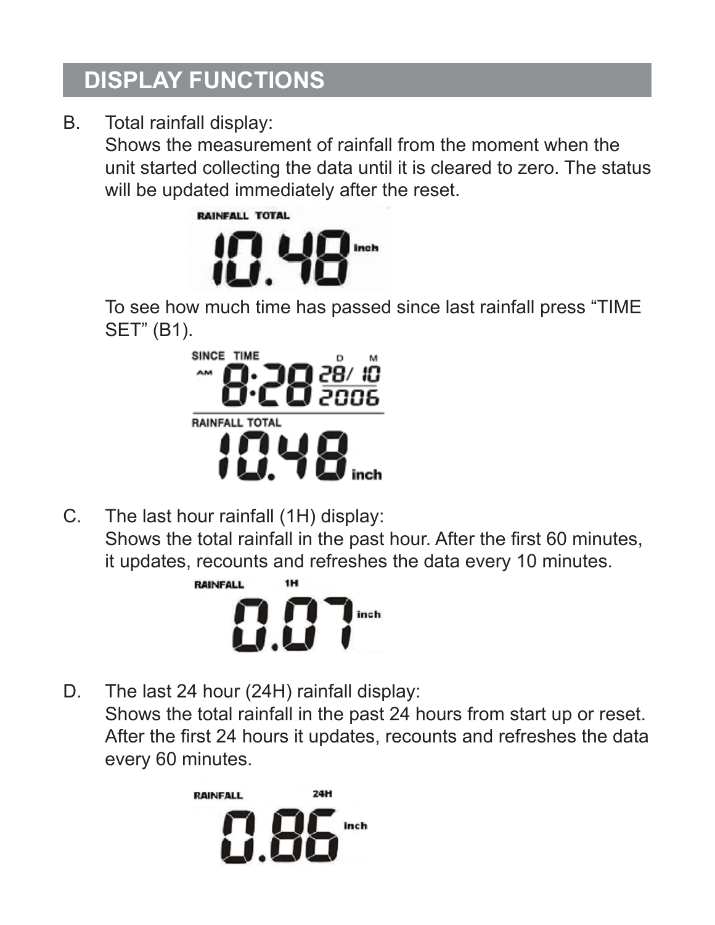# **display functions**

B. Total rainfall display:

Shows the measurement of rainfall from the moment when the unit started collecting the data until it is cleared to zero. The status will be updated immediately after the reset.



To see how much time has passed since last rainfall press "TIME SET" (B1).



C. The last hour rainfall (1H) display: Shows the total rainfall in the past hour. After the first 60 minutes, it updates, recounts and refreshes the data every 10 minutes.



D. The last 24 hour (24H) rainfall display: Shows the total rainfall in the past 24 hours from start up or reset. After the first 24 hours it updates, recounts and refreshes the data every 60 minutes.

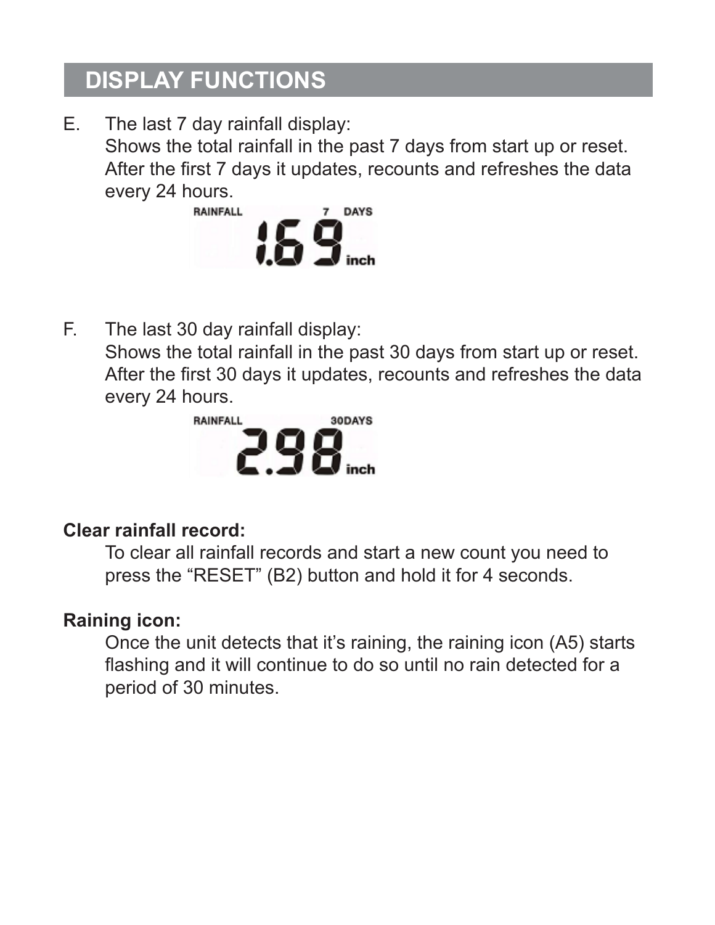# **display functions**

E. The last 7 day rainfall display: Shows the total rainfall in the past 7 days from start up or reset. After the first 7 days it updates, recounts and refreshes the data every 24 hours.



F. The last 30 day rainfall display: Shows the total rainfall in the past 30 days from start up or reset. After the first 30 days it updates, recounts and refreshes the data every 24 hours.



#### **Clear rainfall record:**

To clear all rainfall records and start a new count you need to press the "RESET" (B2) button and hold it for 4 seconds.

#### **Raining icon:**

Once the unit detects that it's raining, the raining icon (A5) starts flashing and it will continue to do so until no rain detected for a period of 30 minutes.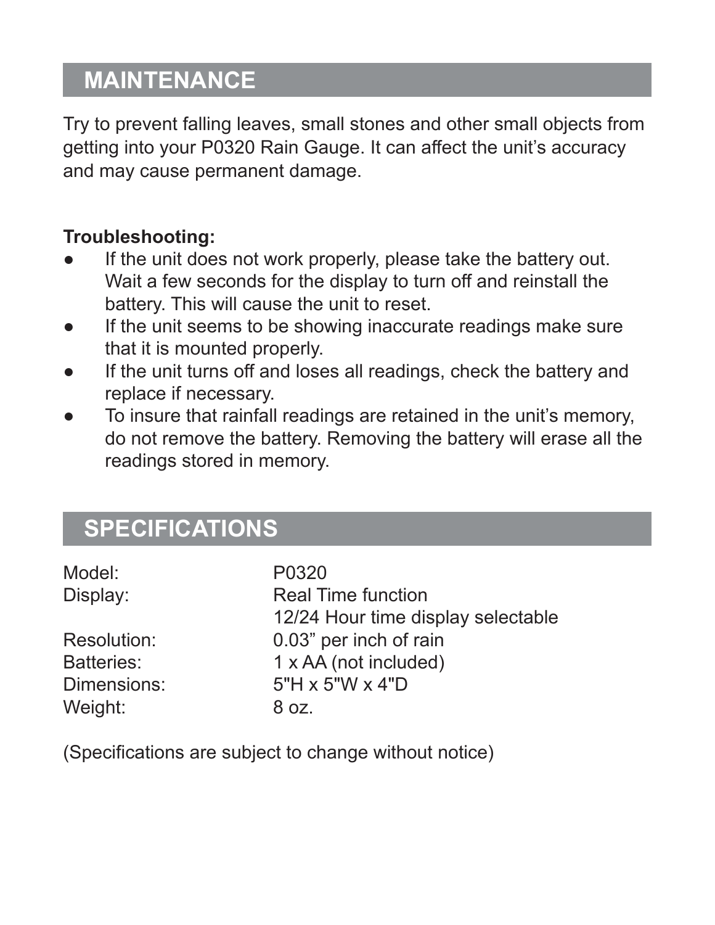# **Maintenance**

Try to prevent falling leaves, small stones and other small objects from getting into your P0320 Rain Gauge. It can affect the unit's accuracy and may cause permanent damage.

#### **Troubleshooting:**

- If the unit does not work properly, please take the battery out. Wait a few seconds for the display to turn off and reinstall the battery. This will cause the unit to reset.
- If the unit seems to be showing inaccurate readings make sure that it is mounted properly.
- If the unit turns off and loses all readings, check the battery and replace if necessary.
- To insure that rainfall readings are retained in the unit's memory, do not remove the battery. Removing the battery will erase all the readings stored in memory.

# **Specifications**

| P0320                              |  |
|------------------------------------|--|
| Real Time function                 |  |
| 12/24 Hour time display selectable |  |
| 0.03" per inch of rain             |  |
| 1 x AA (not included)              |  |
| $5"H \times 5"W \times 4"D$        |  |
| 8 oz.                              |  |
|                                    |  |

(Specifications are subject to change without notice)